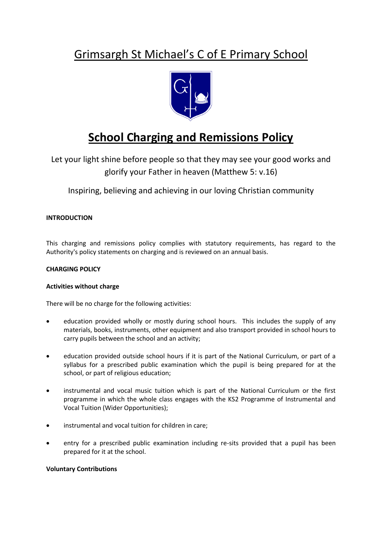## Grimsargh St Michael's C of E Primary School



# **School Charging and Remissions Policy**

Let your light shine before people so that they may see your good works and glorify your Father in heaven (Matthew 5: v.16)

Inspiring, believing and achieving in our loving Christian community

## **INTRODUCTION**

This charging and remissions policy complies with statutory requirements, has regard to the Authority's policy statements on charging and is reviewed on an annual basis.

## **CHARGING POLICY**

## **Activities without charge**

There will be no charge for the following activities:

- education provided wholly or mostly during school hours. This includes the supply of any materials, books, instruments, other equipment and also transport provided in school hours to carry pupils between the school and an activity;
- education provided outside school hours if it is part of the National Curriculum, or part of a syllabus for a prescribed public examination which the pupil is being prepared for at the school, or part of religious education;
- instrumental and vocal music tuition which is part of the National Curriculum or the first programme in which the whole class engages with the KS2 Programme of Instrumental and Vocal Tuition (Wider Opportunities);
- instrumental and vocal tuition for children in care;
- entry for a prescribed public examination including re-sits provided that a pupil has been prepared for it at the school.

### **Voluntary Contributions**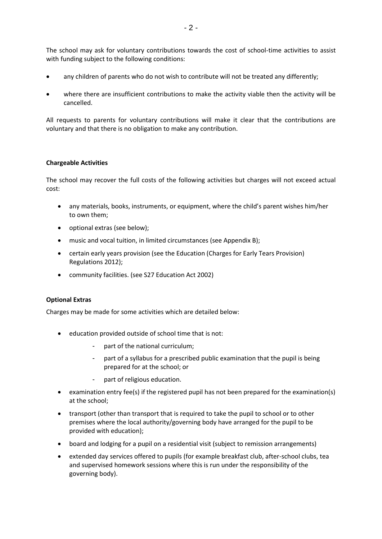The school may ask for voluntary contributions towards the cost of school-time activities to assist with funding subject to the following conditions:

- any children of parents who do not wish to contribute will not be treated any differently;
- where there are insufficient contributions to make the activity viable then the activity will be cancelled.

All requests to parents for voluntary contributions will make it clear that the contributions are voluntary and that there is no obligation to make any contribution.

### **Chargeable Activities**

The school may recover the full costs of the following activities but charges will not exceed actual cost:

- any materials, books, instruments, or equipment, where the child's parent wishes him/her to own them;
- optional extras (see below);
- music and vocal tuition, in limited circumstances (see Appendix B);
- certain early years provision (see the Education (Charges for Early Tears Provision) Regulations 2012);
- community facilities. (see S27 Education Act 2002)

### **Optional Extras**

Charges may be made for some activities which are detailed below:

- education provided outside of school time that is not:
	- part of the national curriculum;
	- part of a syllabus for a prescribed public examination that the pupil is being prepared for at the school; or
	- part of religious education.
- examination entry fee(s) if the registered pupil has not been prepared for the examination(s) at the school;
- transport (other than transport that is required to take the pupil to school or to other premises where the local authority/governing body have arranged for the pupil to be provided with education);
- board and lodging for a pupil on a residential visit (subject to remission arrangements)
- extended day services offered to pupils (for example breakfast club, after-school clubs, tea and supervised homework sessions where this is run under the responsibility of the governing body).